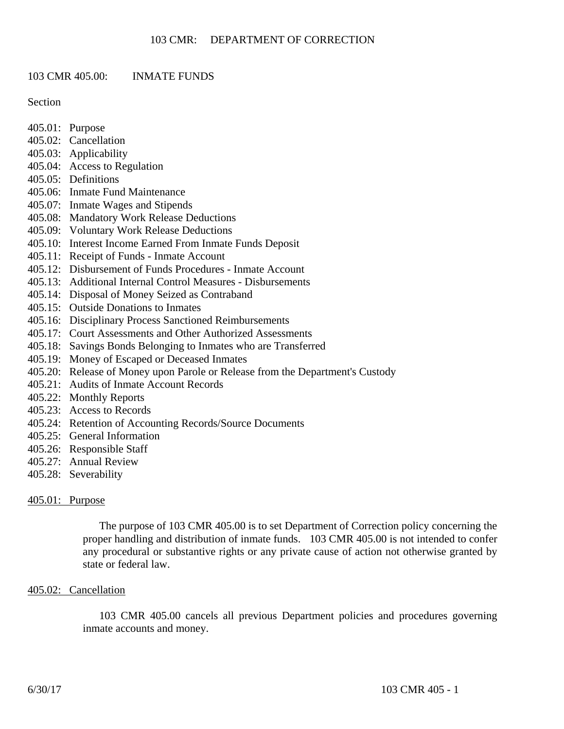# 103 CMR 405.00: INMATE FUNDS

Section

- 405.01: Purpose
- 405.02: Cancellation
- 405.03: Applicability
- 405.04: Access to Regulation
- 405.05: Definitions
- 405.06: Inmate Fund Maintenance
- 405.07: Inmate Wages and Stipends
- 405.08: Mandatory Work Release Deductions
- 405.09: Voluntary Work Release Deductions
- 405.10: Interest Income Earned From Inmate Funds Deposit
- 405.11: Receipt of Funds Inmate Account
- 405.12: Disbursement of Funds Procedures Inmate Account
- 405.13: Additional Internal Control Measures Disbursements
- 405.14: Disposal of Money Seized as Contraband
- 405.15: Outside Donations to Inmates
- 405.16: Disciplinary Process Sanctioned Reimbursements
- 405.17: Court Assessments and Other Authorized Assessments
- 405.18: Savings Bonds Belonging to Inmates who are Transferred
- 405.19: Money of Escaped or Deceased Inmates
- 405.20: Release of Money upon Parole or Release from the Department's Custody
- 405.21: Audits of Inmate Account Records
- 405.22: Monthly Reports
- 405.23: Access to Records
- 405.24: Retention of Accounting Records/Source Documents
- 405.25: General Information
- 405.26: Responsible Staff
- 405.27: Annual Review
- 405.28: Severability

# 405.01: Purpose

The purpose of 103 CMR 405.00 is to set Department of Correction policy concerning the proper handling and distribution of inmate funds. 103 CMR 405.00 is not intended to confer any procedural or substantive rights or any private cause of action not otherwise granted by state or federal law.

# 405.02: Cancellation

103 CMR 405.00 cancels all previous Department policies and procedures governing inmate accounts and money.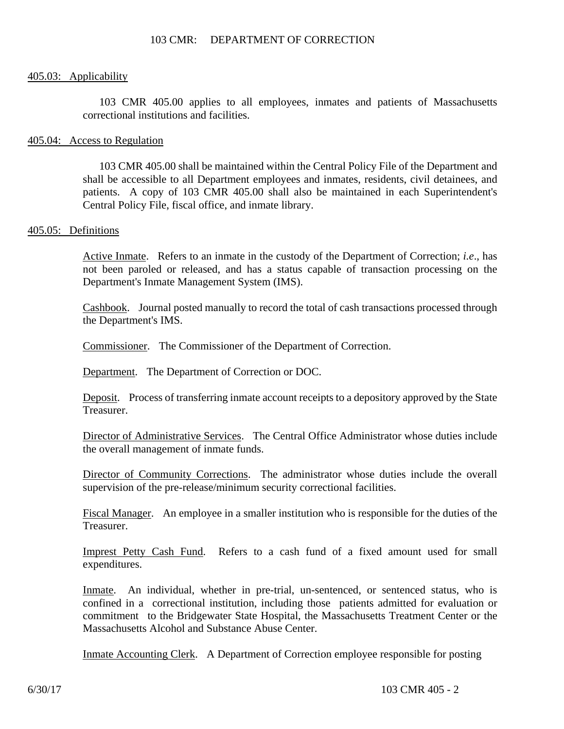### 405.03: Applicability

103 CMR 405.00 applies to all employees, inmates and patients of Massachusetts correctional institutions and facilities.

#### 405.04: Access to Regulation

103 CMR 405.00 shall be maintained within the Central Policy File of the Department and shall be accessible to all Department employees and inmates, residents, civil detainees, and patients. A copy of 103 CMR 405.00 shall also be maintained in each Superintendent's Central Policy File, fiscal office, and inmate library.

#### 405.05: Definitions

Active Inmate. Refers to an inmate in the custody of the Department of Correction; *i.e*., has not been paroled or released, and has a status capable of transaction processing on the Department's Inmate Management System (IMS).

Cashbook. Journal posted manually to record the total of cash transactions processed through the Department's IMS.

Commissioner. The Commissioner of the Department of Correction.

Department. The Department of Correction or DOC.

Deposit. Process of transferring inmate account receipts to a depository approved by the State Treasurer.

Director of Administrative Services. The Central Office Administrator whose duties include the overall management of inmate funds.

Director of Community Corrections. The administrator whose duties include the overall supervision of the pre-release/minimum security correctional facilities.

Fiscal Manager. An employee in a smaller institution who is responsible for the duties of the Treasurer.

Imprest Petty Cash Fund. Refers to a cash fund of a fixed amount used for small expenditures.

Inmate. An individual, whether in pre-trial, un-sentenced, or sentenced status, who is confined in a correctional institution, including those patients admitted for evaluation or commitment to the Bridgewater State Hospital, the Massachusetts Treatment Center or the Massachusetts Alcohol and Substance Abuse Center.

Inmate Accounting Clerk. A Department of Correction employee responsible for posting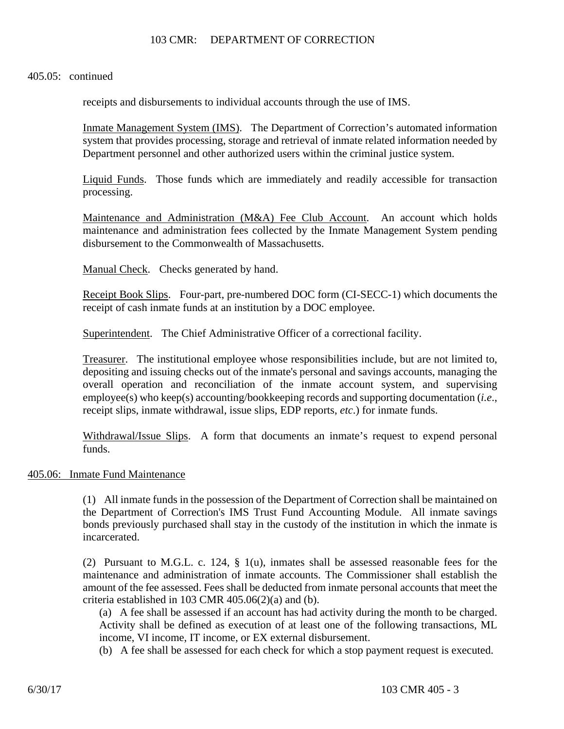### 405.05: continued

receipts and disbursements to individual accounts through the use of IMS.

Inmate Management System (IMS). The Department of Correction's automated information system that provides processing, storage and retrieval of inmate related information needed by Department personnel and other authorized users within the criminal justice system.

Liquid Funds. Those funds which are immediately and readily accessible for transaction processing.

Maintenance and Administration (M&A) Fee Club Account. An account which holds maintenance and administration fees collected by the Inmate Management System pending disbursement to the Commonwealth of Massachusetts.

Manual Check. Checks generated by hand.

Receipt Book Slips. Four-part, pre-numbered DOC form (CI-SECC-1) which documents the receipt of cash inmate funds at an institution by a DOC employee.

Superintendent. The Chief Administrative Officer of a correctional facility.

Treasurer. The institutional employee whose responsibilities include, but are not limited to, depositing and issuing checks out of the inmate's personal and savings accounts, managing the overall operation and reconciliation of the inmate account system, and supervising employee(s) who keep(s) accounting/bookkeeping records and supporting documentation (*i.e*., receipt slips, inmate withdrawal, issue slips, EDP reports, *etc*.) for inmate funds.

Withdrawal/Issue Slips. A form that documents an inmate's request to expend personal funds.

### 405.06: Inmate Fund Maintenance

(1) All inmate funds in the possession of the Department of Correction shall be maintained on the Department of Correction's IMS Trust Fund Accounting Module. All inmate savings bonds previously purchased shall stay in the custody of the institution in which the inmate is incarcerated.

(2) Pursuant to M.G.L. c. 124, § 1(u), inmates shall be assessed reasonable fees for the maintenance and administration of inmate accounts. The Commissioner shall establish the amount of the fee assessed. Fees shall be deducted from inmate personal accounts that meet the criteria established in 103 CMR  $405.06(2)(a)$  and (b).

(a) A fee shall be assessed if an account has had activity during the month to be charged. Activity shall be defined as execution of at least one of the following transactions, ML income, VI income, IT income, or EX external disbursement.

(b) A fee shall be assessed for each check for which a stop payment request is executed.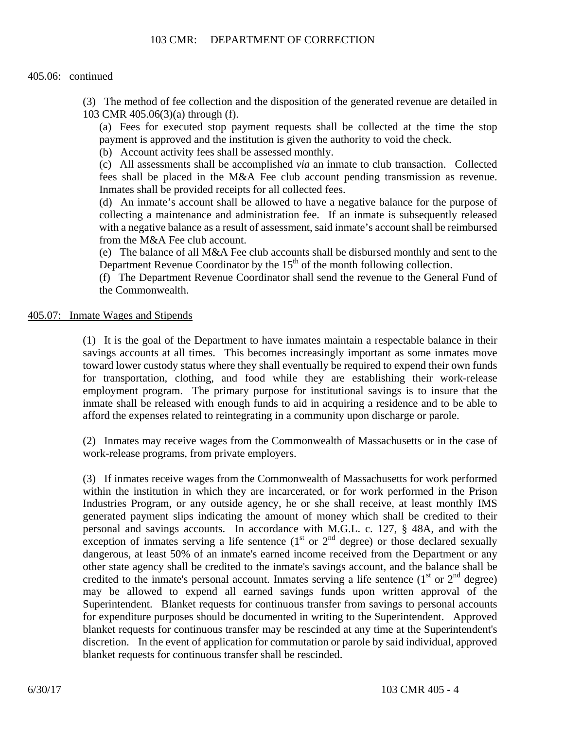### 405.06: continued

(3) The method of fee collection and the disposition of the generated revenue are detailed in 103 CMR 405.06(3)(a) through (f).

(a) Fees for executed stop payment requests shall be collected at the time the stop payment is approved and the institution is given the authority to void the check.

(b) Account activity fees shall be assessed monthly.

(c) All assessments shall be accomplished *via* an inmate to club transaction. Collected fees shall be placed in the M&A Fee club account pending transmission as revenue. Inmates shall be provided receipts for all collected fees.

(d) An inmate's account shall be allowed to have a negative balance for the purpose of collecting a maintenance and administration fee. If an inmate is subsequently released with a negative balance as a result of assessment, said inmate's account shall be reimbursed from the M&A Fee club account.

(e) The balance of all M&A Fee club accounts shall be disbursed monthly and sent to the Department Revenue Coordinator by the  $15<sup>th</sup>$  of the month following collection.

(f) The Department Revenue Coordinator shall send the revenue to the General Fund of the Commonwealth.

### 405.07: Inmate Wages and Stipends

(1) It is the goal of the Department to have inmates maintain a respectable balance in their savings accounts at all times. This becomes increasingly important as some inmates move toward lower custody status where they shall eventually be required to expend their own funds for transportation, clothing, and food while they are establishing their work-release employment program. The primary purpose for institutional savings is to insure that the inmate shall be released with enough funds to aid in acquiring a residence and to be able to afford the expenses related to reintegrating in a community upon discharge or parole.

(2) Inmates may receive wages from the Commonwealth of Massachusetts or in the case of work-release programs, from private employers.

(3) If inmates receive wages from the Commonwealth of Massachusetts for work performed within the institution in which they are incarcerated, or for work performed in the Prison Industries Program, or any outside agency, he or she shall receive, at least monthly IMS generated payment slips indicating the amount of money which shall be credited to their personal and savings accounts. In accordance with M.G.L. c. 127, § 48A, and with the exception of inmates serving a life sentence  $(1<sup>st</sup>$  or  $2<sup>nd</sup>$  degree) or those declared sexually dangerous, at least 50% of an inmate's earned income received from the Department or any other state agency shall be credited to the inmate's savings account, and the balance shall be credited to the inmate's personal account. Inmates serving a life sentence  $(1<sup>st</sup>$  or  $2<sup>nd</sup>$  degree) may be allowed to expend all earned savings funds upon written approval of the Superintendent. Blanket requests for continuous transfer from savings to personal accounts for expenditure purposes should be documented in writing to the Superintendent. Approved blanket requests for continuous transfer may be rescinded at any time at the Superintendent's discretion. In the event of application for commutation or parole by said individual, approved blanket requests for continuous transfer shall be rescinded.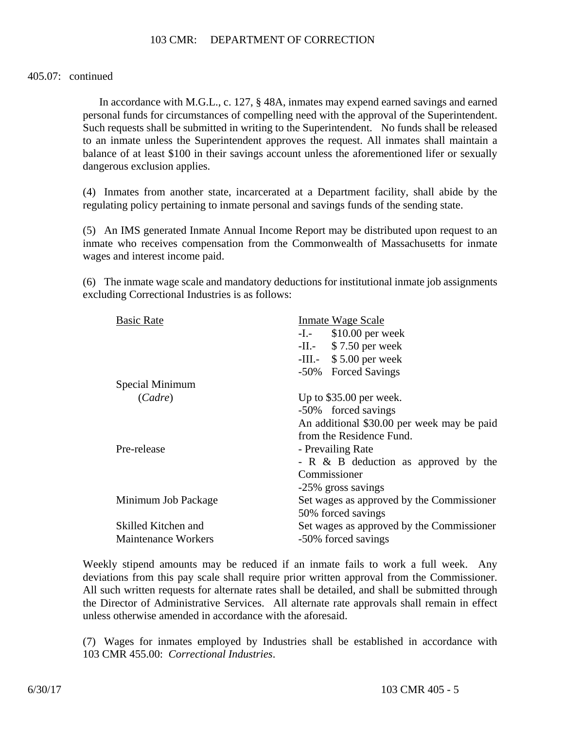### 405.07: continued

In accordance with M.G.L., c. 127, § 48A, inmates may expend earned savings and earned personal funds for circumstances of compelling need with the approval of the Superintendent. Such requests shall be submitted in writing to the Superintendent. No funds shall be released to an inmate unless the Superintendent approves the request. All inmates shall maintain a balance of at least \$100 in their savings account unless the aforementioned lifer or sexually dangerous exclusion applies.

(4) Inmates from another state, incarcerated at a Department facility, shall abide by the regulating policy pertaining to inmate personal and savings funds of the sending state.

(5) An IMS generated Inmate Annual Income Report may be distributed upon request to an inmate who receives compensation from the Commonwealth of Massachusetts for inmate wages and interest income paid.

(6) The inmate wage scale and mandatory deductions for institutional inmate job assignments excluding Correctional Industries is as follows:

| <b>Basic Rate</b>          | <b>Inmate Wage Scale</b>                   |
|----------------------------|--------------------------------------------|
|                            | $$10.00$ per week<br>$-I.$                 |
|                            | $-II. - $7.50$ per week                    |
|                            | -III. $-$ \$ 5.00 per week                 |
|                            | -50% Forced Savings                        |
| Special Minimum            |                                            |
| (Cadre)                    | Up to $$35.00$ per week.                   |
|                            | -50% forced savings                        |
|                            | An additional \$30.00 per week may be paid |
|                            | from the Residence Fund.                   |
| Pre-release                | - Prevailing Rate                          |
|                            | - $R \& B$ deduction as approved by the    |
|                            | Commissioner                               |
|                            | -25% gross savings                         |
| Minimum Job Package        | Set wages as approved by the Commissioner  |
|                            | 50% forced savings                         |
| Skilled Kitchen and        | Set wages as approved by the Commissioner  |
| <b>Maintenance Workers</b> | -50% forced savings                        |
|                            |                                            |

Weekly stipend amounts may be reduced if an inmate fails to work a full week. Any deviations from this pay scale shall require prior written approval from the Commissioner. All such written requests for alternate rates shall be detailed, and shall be submitted through the Director of Administrative Services. All alternate rate approvals shall remain in effect unless otherwise amended in accordance with the aforesaid.

(7) Wages for inmates employed by Industries shall be established in accordance with 103 CMR 455.00: *Correctional Industries*.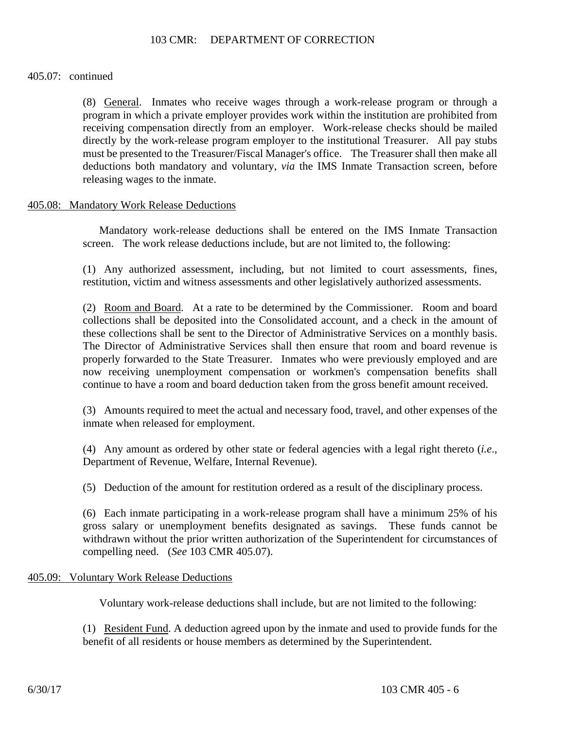### 405.07: continued

(8) General. Inmates who receive wages through a work-release program or through a program in which a private employer provides work within the institution are prohibited from receiving compensation directly from an employer. Work-release checks should be mailed directly by the work-release program employer to the institutional Treasurer. All pay stubs must be presented to the Treasurer/Fiscal Manager's office. The Treasurer shall then make all deductions both mandatory and voluntary, *via* the IMS Inmate Transaction screen, before releasing wages to the inmate.

### 405.08: Mandatory Work Release Deductions

Mandatory work-release deductions shall be entered on the IMS Inmate Transaction screen. The work release deductions include, but are not limited to, the following:

(1) Any authorized assessment, including, but not limited to court assessments, fines, restitution, victim and witness assessments and other legislatively authorized assessments.

(2) Room and Board. At a rate to be determined by the Commissioner. Room and board collections shall be deposited into the Consolidated account, and a check in the amount of these collections shall be sent to the Director of Administrative Services on a monthly basis. The Director of Administrative Services shall then ensure that room and board revenue is properly forwarded to the State Treasurer. Inmates who were previously employed and are now receiving unemployment compensation or workmen's compensation benefits shall continue to have a room and board deduction taken from the gross benefit amount received.

(3) Amounts required to meet the actual and necessary food, travel, and other expenses of the inmate when released for employment.

(4) Any amount as ordered by other state or federal agencies with a legal right thereto (*i.e*., Department of Revenue, Welfare, Internal Revenue).

(5) Deduction of the amount for restitution ordered as a result of the disciplinary process.

(6) Each inmate participating in a work-release program shall have a minimum 25% of his gross salary or unemployment benefits designated as savings. These funds cannot be withdrawn without the prior written authorization of the Superintendent for circumstances of compelling need. (*See* 103 CMR 405.07).

# 405.09: Voluntary Work Release Deductions

Voluntary work-release deductions shall include, but are not limited to the following:

(1) Resident Fund. A deduction agreed upon by the inmate and used to provide funds for the benefit of all residents or house members as determined by the Superintendent.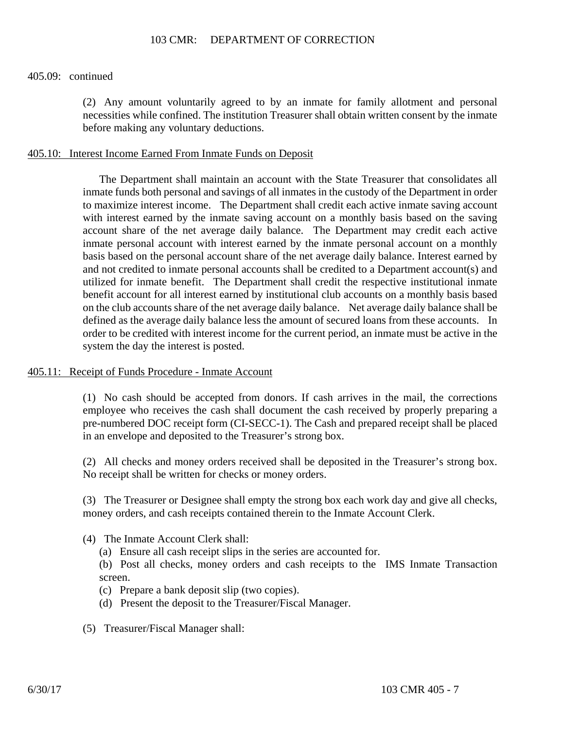#### 405.09: continued

(2) Any amount voluntarily agreed to by an inmate for family allotment and personal necessities while confined. The institution Treasurer shall obtain written consent by the inmate before making any voluntary deductions.

### 405.10: Interest Income Earned From Inmate Funds on Deposit

The Department shall maintain an account with the State Treasurer that consolidates all inmate funds both personal and savings of all inmates in the custody of the Department in order to maximize interest income. The Department shall credit each active inmate saving account with interest earned by the inmate saving account on a monthly basis based on the saving account share of the net average daily balance. The Department may credit each active inmate personal account with interest earned by the inmate personal account on a monthly basis based on the personal account share of the net average daily balance. Interest earned by and not credited to inmate personal accounts shall be credited to a Department account(s) and utilized for inmate benefit. The Department shall credit the respective institutional inmate benefit account for all interest earned by institutional club accounts on a monthly basis based on the club accounts share of the net average daily balance. Net average daily balance shall be defined as the average daily balance less the amount of secured loans from these accounts. In order to be credited with interest income for the current period, an inmate must be active in the system the day the interest is posted.

### 405.11: Receipt of Funds Procedure - Inmate Account

(1) No cash should be accepted from donors. If cash arrives in the mail, the corrections employee who receives the cash shall document the cash received by properly preparing a pre-numbered DOC receipt form (CI-SECC-1). The Cash and prepared receipt shall be placed in an envelope and deposited to the Treasurer's strong box.

(2) All checks and money orders received shall be deposited in the Treasurer's strong box. No receipt shall be written for checks or money orders.

(3) The Treasurer or Designee shall empty the strong box each work day and give all checks, money orders, and cash receipts contained therein to the Inmate Account Clerk.

- (4) The Inmate Account Clerk shall:
	- (a) Ensure all cash receipt slips in the series are accounted for.

(b) Post all checks, money orders and cash receipts to the IMS Inmate Transaction screen.

- (c) Prepare a bank deposit slip (two copies).
- (d) Present the deposit to the Treasurer/Fiscal Manager.
- (5) Treasurer/Fiscal Manager shall: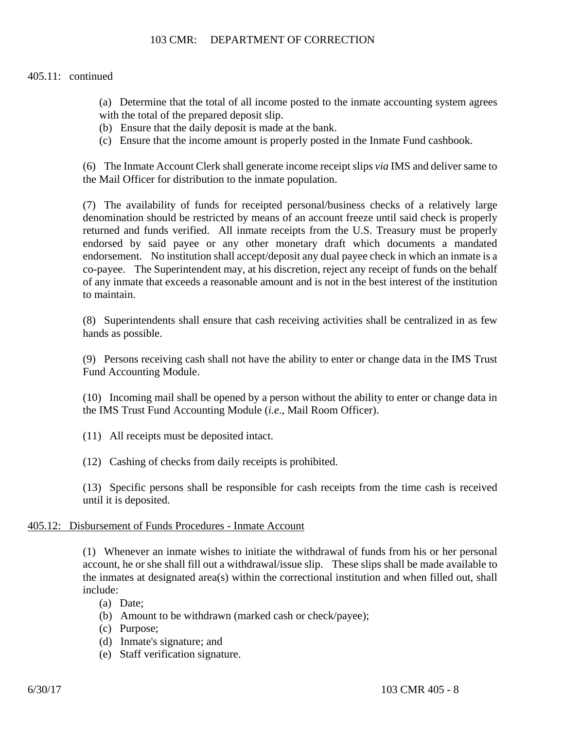# 405.11: continued

- (a) Determine that the total of all income posted to the inmate accounting system agrees with the total of the prepared deposit slip.
- (b) Ensure that the daily deposit is made at the bank.
- (c) Ensure that the income amount is properly posted in the Inmate Fund cashbook.

(6) The Inmate Account Clerk shall generate income receipt slips *via* IMS and deliver same to the Mail Officer for distribution to the inmate population.

(7) The availability of funds for receipted personal/business checks of a relatively large denomination should be restricted by means of an account freeze until said check is properly returned and funds verified. All inmate receipts from the U.S. Treasury must be properly endorsed by said payee or any other monetary draft which documents a mandated endorsement. No institution shall accept/deposit any dual payee check in which an inmate is a co-payee. The Superintendent may, at his discretion, reject any receipt of funds on the behalf of any inmate that exceeds a reasonable amount and is not in the best interest of the institution to maintain.

(8) Superintendents shall ensure that cash receiving activities shall be centralized in as few hands as possible.

(9) Persons receiving cash shall not have the ability to enter or change data in the IMS Trust Fund Accounting Module.

(10) Incoming mail shall be opened by a person without the ability to enter or change data in the IMS Trust Fund Accounting Module (*i.e*., Mail Room Officer).

- (11) All receipts must be deposited intact.
- (12) Cashing of checks from daily receipts is prohibited.

(13) Specific persons shall be responsible for cash receipts from the time cash is received until it is deposited.

# 405.12: Disbursement of Funds Procedures - Inmate Account

(1) Whenever an inmate wishes to initiate the withdrawal of funds from his or her personal account, he or she shall fill out a withdrawal/issue slip. These slips shall be made available to the inmates at designated area(s) within the correctional institution and when filled out, shall include:

- (a) Date;
- (b) Amount to be withdrawn (marked cash or check/payee);
- (c) Purpose;
- (d) Inmate's signature; and
- (e) Staff verification signature.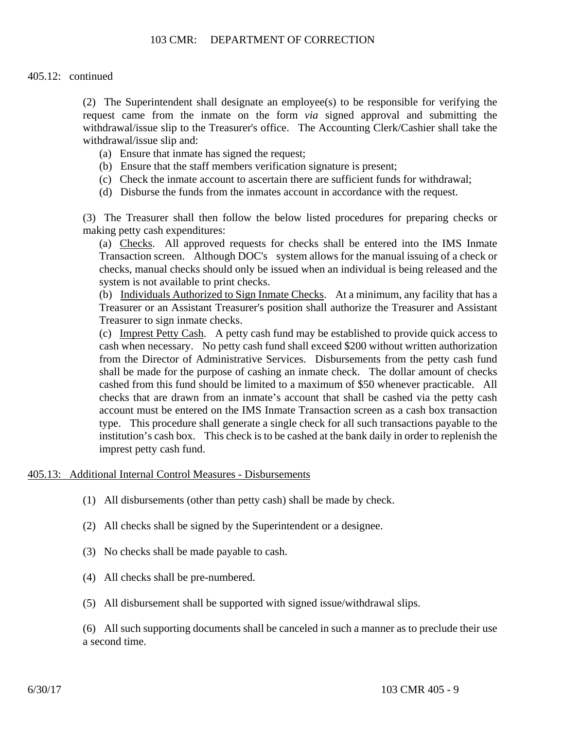# 405.12: continued

(2) The Superintendent shall designate an employee(s) to be responsible for verifying the request came from the inmate on the form *via* signed approval and submitting the withdrawal/issue slip to the Treasurer's office. The Accounting Clerk/Cashier shall take the withdrawal/issue slip and:

- (a) Ensure that inmate has signed the request;
- (b) Ensure that the staff members verification signature is present;
- (c) Check the inmate account to ascertain there are sufficient funds for withdrawal;
- (d) Disburse the funds from the inmates account in accordance with the request.

(3) The Treasurer shall then follow the below listed procedures for preparing checks or making petty cash expenditures:

(a) Checks. All approved requests for checks shall be entered into the IMS Inmate Transaction screen. Although DOC's system allows for the manual issuing of a check or checks, manual checks should only be issued when an individual is being released and the system is not available to print checks.

(b) Individuals Authorized to Sign Inmate Checks. At a minimum, any facility that has a Treasurer or an Assistant Treasurer's position shall authorize the Treasurer and Assistant Treasurer to sign inmate checks.

(c) Imprest Petty Cash. A petty cash fund may be established to provide quick access to cash when necessary. No petty cash fund shall exceed \$200 without written authorization from the Director of Administrative Services. Disbursements from the petty cash fund shall be made for the purpose of cashing an inmate check. The dollar amount of checks cashed from this fund should be limited to a maximum of \$50 whenever practicable. All checks that are drawn from an inmate's account that shall be cashed via the petty cash account must be entered on the IMS Inmate Transaction screen as a cash box transaction type. This procedure shall generate a single check for all such transactions payable to the institution's cash box. This check is to be cashed at the bank daily in order to replenish the imprest petty cash fund.

# 405.13: Additional Internal Control Measures - Disbursements

- (1) All disbursements (other than petty cash) shall be made by check.
- (2) All checks shall be signed by the Superintendent or a designee.
- (3) No checks shall be made payable to cash.
- (4) All checks shall be pre-numbered.
- (5) All disbursement shall be supported with signed issue/withdrawal slips.

(6) All such supporting documents shall be canceled in such a manner as to preclude their use a second time.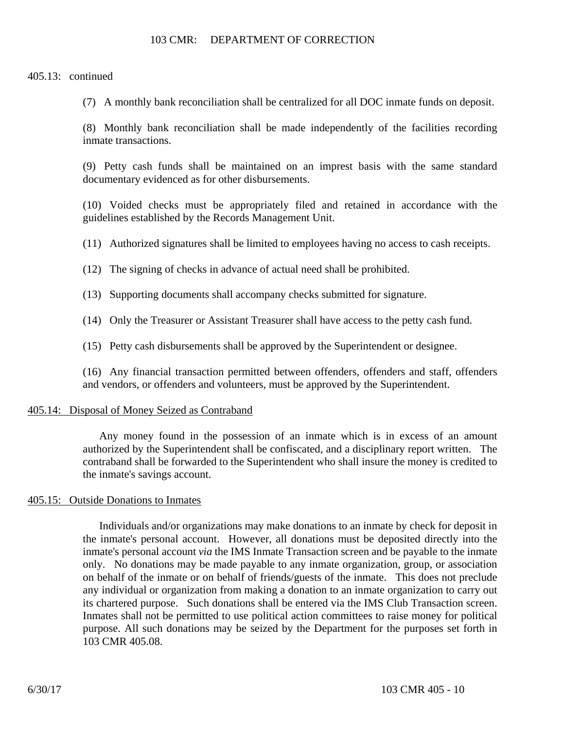405.13: continued

(7) A monthly bank reconciliation shall be centralized for all DOC inmate funds on deposit.

(8) Monthly bank reconciliation shall be made independently of the facilities recording inmate transactions.

(9) Petty cash funds shall be maintained on an imprest basis with the same standard documentary evidenced as for other disbursements.

(10) Voided checks must be appropriately filed and retained in accordance with the guidelines established by the Records Management Unit.

(11) Authorized signatures shall be limited to employees having no access to cash receipts.

(12) The signing of checks in advance of actual need shall be prohibited.

(13) Supporting documents shall accompany checks submitted for signature.

(14) Only the Treasurer or Assistant Treasurer shall have access to the petty cash fund.

(15) Petty cash disbursements shall be approved by the Superintendent or designee.

(16) Any financial transaction permitted between offenders, offenders and staff, offenders and vendors, or offenders and volunteers, must be approved by the Superintendent.

### 405.14: Disposal of Money Seized as Contraband

Any money found in the possession of an inmate which is in excess of an amount authorized by the Superintendent shall be confiscated, and a disciplinary report written. The contraband shall be forwarded to the Superintendent who shall insure the money is credited to the inmate's savings account.

### 405.15: Outside Donations to Inmates

Individuals and/or organizations may make donations to an inmate by check for deposit in the inmate's personal account. However, all donations must be deposited directly into the inmate's personal account *via* the IMS Inmate Transaction screen and be payable to the inmate only. No donations may be made payable to any inmate organization, group, or association on behalf of the inmate or on behalf of friends/guests of the inmate. This does not preclude any individual or organization from making a donation to an inmate organization to carry out its chartered purpose. Such donations shall be entered via the IMS Club Transaction screen. Inmates shall not be permitted to use political action committees to raise money for political purpose. All such donations may be seized by the Department for the purposes set forth in 103 CMR 405.08.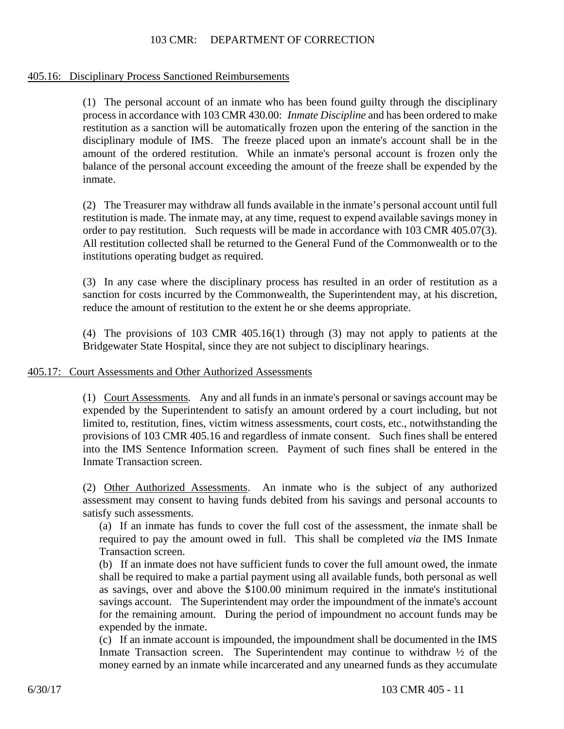## 405.16: Disciplinary Process Sanctioned Reimbursements

(1) The personal account of an inmate who has been found guilty through the disciplinary process in accordance with 103 CMR 430.00: *Inmate Discipline* and has been ordered to make restitution as a sanction will be automatically frozen upon the entering of the sanction in the disciplinary module of IMS. The freeze placed upon an inmate's account shall be in the amount of the ordered restitution. While an inmate's personal account is frozen only the balance of the personal account exceeding the amount of the freeze shall be expended by the inmate.

(2) The Treasurer may withdraw all funds available in the inmate's personal account until full restitution is made. The inmate may, at any time, request to expend available savings money in order to pay restitution. Such requests will be made in accordance with 103 CMR 405.07(3). All restitution collected shall be returned to the General Fund of the Commonwealth or to the institutions operating budget as required.

(3) In any case where the disciplinary process has resulted in an order of restitution as a sanction for costs incurred by the Commonwealth, the Superintendent may, at his discretion, reduce the amount of restitution to the extent he or she deems appropriate.

(4) The provisions of 103 CMR 405.16(1) through (3) may not apply to patients at the Bridgewater State Hospital, since they are not subject to disciplinary hearings.

### 405.17: Court Assessments and Other Authorized Assessments

(1) Court Assessments. Any and all funds in an inmate's personal or savings account may be expended by the Superintendent to satisfy an amount ordered by a court including, but not limited to, restitution, fines, victim witness assessments, court costs, etc., notwithstanding the provisions of 103 CMR 405.16 and regardless of inmate consent. Such fines shall be entered into the IMS Sentence Information screen. Payment of such fines shall be entered in the Inmate Transaction screen.

(2) Other Authorized Assessments. An inmate who is the subject of any authorized assessment may consent to having funds debited from his savings and personal accounts to satisfy such assessments.

(a) If an inmate has funds to cover the full cost of the assessment, the inmate shall be required to pay the amount owed in full. This shall be completed *via* the IMS Inmate Transaction screen.

(b) If an inmate does not have sufficient funds to cover the full amount owed, the inmate shall be required to make a partial payment using all available funds, both personal as well as savings, over and above the \$100.00 minimum required in the inmate's institutional savings account. The Superintendent may order the impoundment of the inmate's account for the remaining amount. During the period of impoundment no account funds may be expended by the inmate.

(c) If an inmate account is impounded, the impoundment shall be documented in the IMS Inmate Transaction screen. The Superintendent may continue to withdraw  $\frac{1}{2}$  of the money earned by an inmate while incarcerated and any unearned funds as they accumulate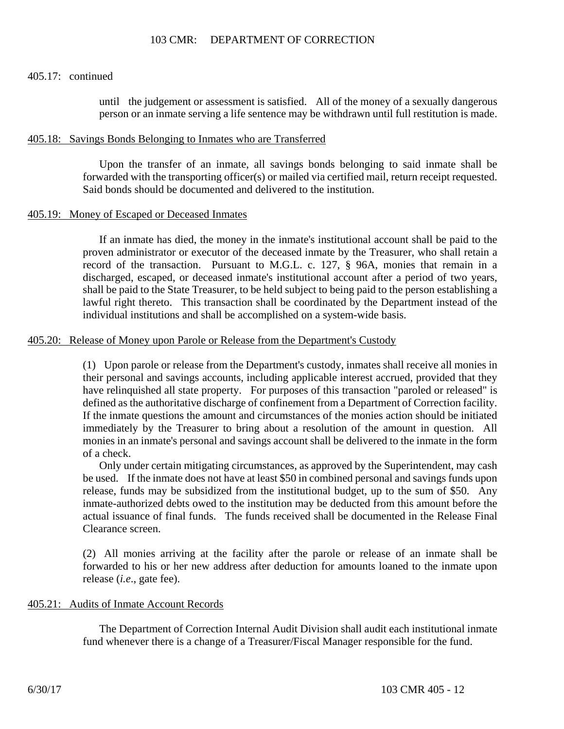### 405.17: continued

until the judgement or assessment is satisfied. All of the money of a sexually dangerous person or an inmate serving a life sentence may be withdrawn until full restitution is made.

### 405.18: Savings Bonds Belonging to Inmates who are Transferred

Upon the transfer of an inmate, all savings bonds belonging to said inmate shall be forwarded with the transporting officer(s) or mailed via certified mail, return receipt requested. Said bonds should be documented and delivered to the institution.

### 405.19: Money of Escaped or Deceased Inmates

If an inmate has died, the money in the inmate's institutional account shall be paid to the proven administrator or executor of the deceased inmate by the Treasurer, who shall retain a record of the transaction. Pursuant to M.G.L. c. 127, § 96A, monies that remain in a discharged, escaped, or deceased inmate's institutional account after a period of two years, shall be paid to the State Treasurer, to be held subject to being paid to the person establishing a lawful right thereto. This transaction shall be coordinated by the Department instead of the individual institutions and shall be accomplished on a system-wide basis.

### 405.20: Release of Money upon Parole or Release from the Department's Custody

(1) Upon parole or release from the Department's custody, inmates shall receive all monies in their personal and savings accounts, including applicable interest accrued, provided that they have relinquished all state property. For purposes of this transaction "paroled or released" is defined as the authoritative discharge of confinement from a Department of Correction facility. If the inmate questions the amount and circumstances of the monies action should be initiated immediately by the Treasurer to bring about a resolution of the amount in question. All monies in an inmate's personal and savings account shall be delivered to the inmate in the form of a check.

Only under certain mitigating circumstances, as approved by the Superintendent, may cash be used. If the inmate does not have at least \$50 in combined personal and savings funds upon release, funds may be subsidized from the institutional budget, up to the sum of \$50. Any inmate-authorized debts owed to the institution may be deducted from this amount before the actual issuance of final funds. The funds received shall be documented in the Release Final Clearance screen.

(2) All monies arriving at the facility after the parole or release of an inmate shall be forwarded to his or her new address after deduction for amounts loaned to the inmate upon release (*i.e*., gate fee).

### 405.21: Audits of Inmate Account Records

The Department of Correction Internal Audit Division shall audit each institutional inmate fund whenever there is a change of a Treasurer/Fiscal Manager responsible for the fund.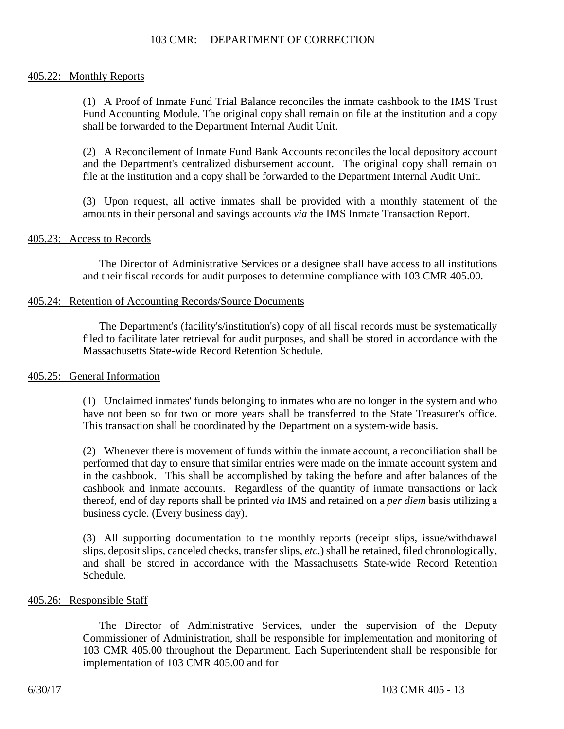### 405.22: Monthly Reports

(1) A Proof of Inmate Fund Trial Balance reconciles the inmate cashbook to the IMS Trust Fund Accounting Module. The original copy shall remain on file at the institution and a copy shall be forwarded to the Department Internal Audit Unit.

(2) A Reconcilement of Inmate Fund Bank Accounts reconciles the local depository account and the Department's centralized disbursement account. The original copy shall remain on file at the institution and a copy shall be forwarded to the Department Internal Audit Unit.

(3) Upon request, all active inmates shall be provided with a monthly statement of the amounts in their personal and savings accounts *via* the IMS Inmate Transaction Report.

### 405.23: Access to Records

The Director of Administrative Services or a designee shall have access to all institutions and their fiscal records for audit purposes to determine compliance with 103 CMR 405.00.

### 405.24: Retention of Accounting Records/Source Documents

The Department's (facility's/institution's) copy of all fiscal records must be systematically filed to facilitate later retrieval for audit purposes, and shall be stored in accordance with the Massachusetts State-wide Record Retention Schedule.

### 405.25: General Information

(1) Unclaimed inmates' funds belonging to inmates who are no longer in the system and who have not been so for two or more years shall be transferred to the State Treasurer's office. This transaction shall be coordinated by the Department on a system-wide basis.

(2) Whenever there is movement of funds within the inmate account, a reconciliation shall be performed that day to ensure that similar entries were made on the inmate account system and in the cashbook. This shall be accomplished by taking the before and after balances of the cashbook and inmate accounts. Regardless of the quantity of inmate transactions or lack thereof, end of day reports shall be printed *via* IMS and retained on a *per diem* basis utilizing a business cycle. (Every business day).

(3) All supporting documentation to the monthly reports (receipt slips, issue/withdrawal slips, deposit slips, canceled checks, transfer slips, *etc*.) shall be retained, filed chronologically, and shall be stored in accordance with the Massachusetts State-wide Record Retention Schedule.

### 405.26: Responsible Staff

The Director of Administrative Services, under the supervision of the Deputy Commissioner of Administration, shall be responsible for implementation and monitoring of 103 CMR 405.00 throughout the Department. Each Superintendent shall be responsible for implementation of 103 CMR 405.00 and for